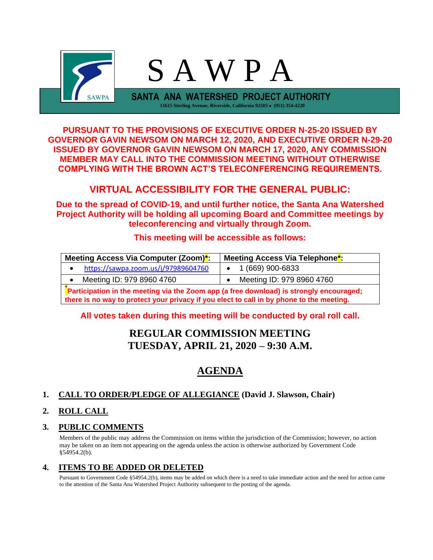

**PURSUANT TO THE PROVISIONS OF EXECUTIVE ORDER N-25-20 ISSUED BY GOVERNOR GAVIN NEWSOM ON MARCH 12, 2020, AND EXECUTIVE ORDER N-29-20 ISSUED BY GOVERNOR GAVIN NEWSOM ON MARCH 17, 2020, ANY COMMISSION MEMBER MAY CALL INTO THE COMMISSION MEETING WITHOUT OTHERWISE COMPLYING WITH THE BROWN ACT'S TELECONFERENCING REQUIREMENTS.**

## **VIRTUAL ACCESSIBILITY FOR THE GENERAL PUBLIC:**

**Due to the spread of COVID-19, and until further notice, the Santa Ana Watershed Project Authority will be holding all upcoming Board and Committee meetings by teleconferencing and virtually through Zoom.**

## **This meeting will be accessible as follows:**

| Meeting Access Via Computer (Zoom)*:                                                                                                                                                | Meeting Access Via Telephone <sup>*</sup> : |  |  |  |
|-------------------------------------------------------------------------------------------------------------------------------------------------------------------------------------|---------------------------------------------|--|--|--|
| https://sawpa.zoom.us/j/97989604760<br>$\bullet$                                                                                                                                    | $\bullet$ 1 (669) 900-6833                  |  |  |  |
| Meeting ID: 979 8960 4760<br>$\bullet$                                                                                                                                              | Meeting ID: 979 8960 4760                   |  |  |  |
| Participation in the meeting via the Zoom app (a free download) is strongly encouraged;<br>there is no way to protect your privacy if you elect to call in by phone to the meeting. |                                             |  |  |  |

**All votes taken during this meeting will be conducted by oral roll call.**

## **REGULAR COMMISSION MEETING TUESDAY, APRIL 21, 2020 – 9:30 A.M.**

# **AGENDA**

## **1. CALL TO ORDER/PLEDGE OF ALLEGIANCE (David J. Slawson, Chair)**

## **2. ROLL CALL**

## **3. PUBLIC COMMENTS**

Members of the public may address the Commission on items within the jurisdiction of the Commission; however, no action may be taken on an item not appearing on the agenda unless the action is otherwise authorized by Government Code §54954.2(b).

## **4. ITEMS TO BE ADDED OR DELETED**

Pursuant to Government Code §54954.2(b), items may be added on which there is a need to take immediate action and the need for action came to the attention of the Santa Ana Watershed Project Authority subsequent to the posting of the agenda.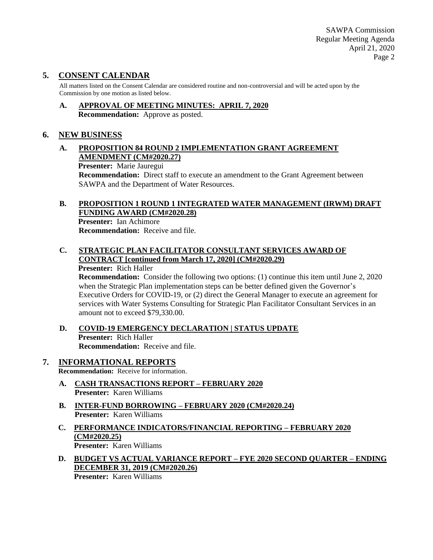SAWPA Commission Regular Meeting Agenda April 21, 2020 Page 2

## **5. CONSENT CALENDAR**

All matters listed on the Consent Calendar are considered routine and non-controversial and will be acted upon by the Commission by one motion as listed below.

**A. APPROVAL OF MEETING MINUTES: APRIL 7, 2020 Recommendation:** Approve as posted.

#### **6. NEW BUSINESS**

#### **A. PROPOSITION 84 ROUND 2 IMPLEMENTATION GRANT AGREEMENT AMENDMENT (CM#2020.27)**

**Presenter:** Marie Jauregui

**Recommendation:** Direct staff to execute an amendment to the Grant Agreement between SAWPA and the Department of Water Resources.

#### **B. PROPOSITION 1 ROUND 1 INTEGRATED WATER MANAGEMENT (IRWM) DRAFT FUNDING AWARD (CM#2020.28)**

**Presenter:** Ian Achimore **Recommendation:** Receive and file.

#### **C. STRATEGIC PLAN FACILITATOR CONSULTANT SERVICES AWARD OF CONTRACT [continued from March 17, 2020] (CM#2020.29)**

#### **Presenter:** Rich Haller

**Recommendation:** Consider the following two options: (1) continue this item until June 2, 2020 when the Strategic Plan implementation steps can be better defined given the Governor's Executive Orders for COVID-19, or (2) direct the General Manager to execute an agreement for services with Water Systems Consulting for Strategic Plan Facilitator Consultant Services in an amount not to exceed \$79,330.00.

**D. COVID-19 EMERGENCY DECLARATION | STATUS UPDATE Presenter:** Rich Haller **Recommendation:** Receive and file.

# **7. INFORMATIONAL REPORTS**

**Recommendation:** Receive for information.

- **A. CASH TRANSACTIONS REPORT – FEBRUARY 2020 Presenter:** Karen Williams
- **B. INTER-FUND BORROWING – FEBRUARY 2020 (CM#2020.24) Presenter:** Karen Williams
- **C. PERFORMANCE INDICATORS/FINANCIAL REPORTING – FEBRUARY 2020 (CM#2020.25) Presenter:** Karen Williams
- **D. BUDGET VS ACTUAL VARIANCE REPORT – FYE 2020 SECOND QUARTER – ENDING DECEMBER 31, 2019 (CM#2020.26)**

**Presenter:** Karen Williams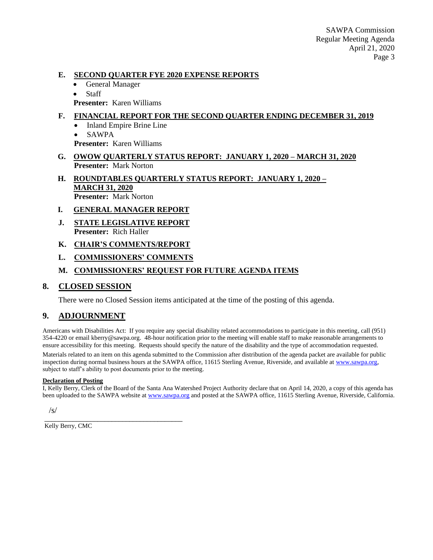#### **E. SECOND QUARTER FYE 2020 EXPENSE REPORTS**

- General Manager
- Staff
- **Presenter:** Karen Williams

#### **F. FINANCIAL REPORT FOR THE SECOND QUARTER ENDING DECEMBER 31, 2019**

- Inland Empire Brine Line
- SAWPA

**Presenter:** Karen Williams

- **G. OWOW QUARTERLY STATUS REPORT: JANUARY 1, 2020 – MARCH 31, 2020 Presenter:** Mark Norton
- **H. ROUNDTABLES QUARTERLY STATUS REPORT: JANUARY 1, 2020 – MARCH 31, 2020 Presenter:** Mark Norton
- **I. GENERAL MANAGER REPORT**
- **J. STATE LEGISLATIVE REPORT Presenter:** Rich Haller
- **K. CHAIR'S COMMENTS/REPORT**
- **L. COMMISSIONERS' COMMENTS**

\_\_\_\_\_\_\_\_\_\_\_\_\_\_\_\_\_\_\_\_\_\_\_\_\_\_\_\_\_\_\_\_\_\_\_\_\_\_\_

#### **M. COMMISSIONERS' REQUEST FOR FUTURE AGENDA ITEMS**

#### **8. CLOSED SESSION**

There were no Closed Session items anticipated at the time of the posting of this agenda.

#### **9. ADJOURNMENT**

Americans with Disabilities Act: If you require any special disability related accommodations to participate in this meeting, call (951) 354-4220 or email kberry@sawpa.org. 48-hour notification prior to the meeting will enable staff to make reasonable arrangements to ensure accessibility for this meeting. Requests should specify the nature of the disability and the type of accommodation requested.

Materials related to an item on this agenda submitted to the Commission after distribution of the agenda packet are available for public inspection during normal business hours at the SAWPA office, 11615 Sterling Avenue, Riverside, and available at [www.sawpa.org,](http://www.sawpa.org/) subject to staff's ability to post documents prior to the meeting.

#### **Declaration of Posting**

I, Kelly Berry, Clerk of the Board of the Santa Ana Watershed Project Authority declare that on April 14, 2020, a copy of this agenda has been uploaded to the SAWPA website a[t www.sawpa.org](http://www.sawpa.org/) and posted at the SAWPA office, 11615 Sterling Avenue, Riverside, California.

/s/

Kelly Berry, CMC